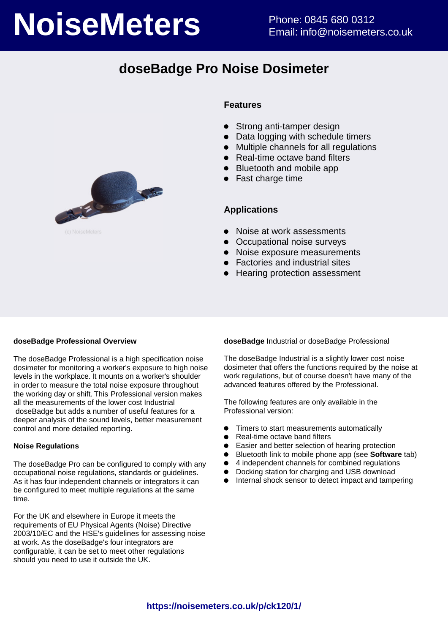# **NoiseMeters** Phone: 0845 680 0312

# **doseBadge Pro Noise Dosimeter**



### **Features**

- $\bullet$ Strong anti-tamper design
- Data logging with schedule timers
- Multiple channels for all regulations  $\bullet$
- Real-time octave band filters
- Bluetooth and mobile app
- Fast charge time

### **Applications**

- Noise at work assessments
- Occupational noise surveys
- Noise exposure measurements
- Factories and industrial sites
- Hearing protection assessment

### **doseBadge Professional Overview**

The doseBadge Professional is a high specification noise dosimeter for monitoring a worker's exposure to high noise levels in the workplace. It mounts on a worker's shoulder in order to measure the total noise exposure throughout the working day or shift. This Professional version makes all the measurements of the lower cost Industrial doseBadge but adds a number of useful features for a deeper analysis of the sound levels, better measurement control and more detailed reporting.

### **Noise Regulations**

The doseBadge Pro can be configured to comply with any occupational noise regulations, standards or guidelines. As it has four independent channels or integrators it can be configured to meet multiple regulations at the same time.

For the UK and elsewhere in Europe it meets the requirements of EU Physical Agents (Noise) Directive 2003/10/EC and the HSE's guidelines for assessing noise at work. As the doseBadge's four integrators are configurable, it can be set to meet other regulations should you need to use it outside the UK.

**doseBadge** Industrial or doseBadge Professional

The doseBadge Industrial is a slightly lower cost noise dosimeter that offers the functions required by the noise at work regulations, but of course doesn't have many of the advanced features offered by the Professional.

The following features are only available in the Professional version:

- Timers to start measurements automatically  $\bullet$
- $\bullet$ Real-time octave band filters
- Easier and better selection of hearing protection  $\bullet$
- Bluetooth link to mobile phone app (see **Software** tab)
- 4 independent channels for combined regulations
- Docking station for charging and USB download
- Internal shock sensor to detect impact and tampering